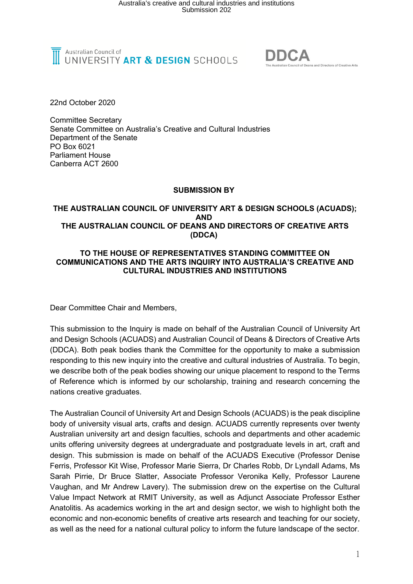



22nd October 2020

Committee Secretary Senate Committee on Australia's Creative and Cultural Industries Department of the Senate PO Box 6021 Parliament House Canberra ACT 2600

#### **SUBMISSION BY**

#### **THE AUSTRALIAN COUNCIL OF UNIVERSITY ART & DESIGN SCHOOLS (ACUADS); AND THE AUSTRALIAN COUNCIL OF DEANS AND DIRECTORS OF CREATIVE ARTS (DDCA)**

#### **TO THE HOUSE OF REPRESENTATIVES STANDING COMMITTEE ON COMMUNICATIONS AND THE ARTS INQUIRY INTO AUSTRALIA'S CREATIVE AND CULTURAL INDUSTRIES AND INSTITUTIONS**

Dear Committee Chair and Members,

This submission to the Inquiry is made on behalf of the Australian Council of University Art and Design Schools (ACUADS) and Australian Council of Deans & Directors of Creative Arts (DDCA). Both peak bodies thank the Committee for the opportunity to make a submission responding to this new inquiry into the creative and cultural industries of Australia. To begin, we describe both of the peak bodies showing our unique placement to respond to the Terms of Reference which is informed by our scholarship, training and research concerning the nations creative graduates.

The Australian Council of University Art and Design Schools (ACUADS) is the peak discipline body of university visual arts, crafts and design. ACUADS currently represents over twenty Australian university art and design faculties, schools and departments and other academic units offering university degrees at undergraduate and postgraduate levels in art, craft and design. This submission is made on behalf of the ACUADS Executive (Professor Denise Ferris, Professor Kit Wise, Professor Marie Sierra, Dr Charles Robb, Dr Lyndall Adams, Ms Sarah Pirrie, Dr Bruce Slatter, Associate Professor Veronika Kelly, Professor Laurene Vaughan, and Mr Andrew Lavery). The submission drew on the expertise on the Cultural Value Impact Network at RMIT University, as well as Adjunct Associate Professor Esther Anatolitis. As academics working in the art and design sector, we wish to highlight both the economic and non-economic benefits of creative arts research and teaching for our society, as well as the need for a national cultural policy to inform the future landscape of the sector.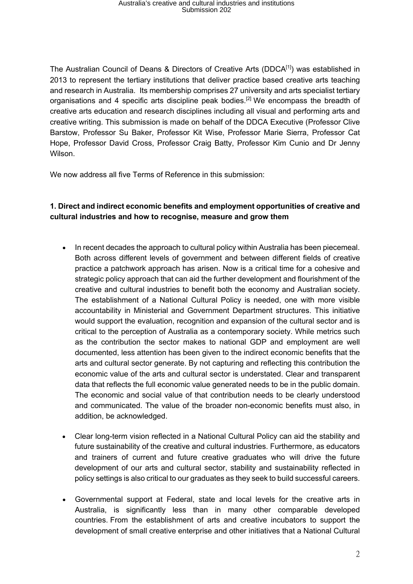The Australian Council of Deans & Directors of Creative Arts (DDCA $[1]$ ) was established in 2013 to represent the tertiary institutions that deliver practice based creative arts teaching and research in Australia. Its membership comprises 27 university and arts specialist tertiary organisations and 4 specific arts discipline peak bodies.<sup>[2]</sup> We encompass the breadth of creative arts education and research disciplines including all visual and performing arts and creative writing. This submission is made on behalf of the DDCA Executive (Professor Clive Barstow, Professor Su Baker, Professor Kit Wise, Professor Marie Sierra, Professor Cat Hope, Professor David Cross, Professor Craig Batty, Professor Kim Cunio and Dr Jenny Wilson.

We now address all five Terms of Reference in this submission:

### **1. Direct and indirect economic benefits and employment opportunities of creative and cultural industries and how to recognise, measure and grow them**

- In recent decades the approach to cultural policy within Australia has been piecemeal. Both across different levels of government and between different fields of creative practice a patchwork approach has arisen. Now is a critical time for a cohesive and strategic policy approach that can aid the further development and flourishment of the creative and cultural industries to benefit both the economy and Australian society. The establishment of a National Cultural Policy is needed, one with more visible accountability in Ministerial and Government Department structures. This initiative would support the evaluation, recognition and expansion of the cultural sector and is critical to the perception of Australia as a contemporary society. While metrics such as the contribution the sector makes to national GDP and employment are well documented, less attention has been given to the indirect economic benefits that the arts and cultural sector generate. By not capturing and reflecting this contribution the economic value of the arts and cultural sector is understated. Clear and transparent data that reflects the full economic value generated needs to be in the public domain. The economic and social value of that contribution needs to be clearly understood and communicated. The value of the broader non-economic benefits must also, in addition, be acknowledged.
- Clear long-term vision reflected in a National Cultural Policy can aid the stability and future sustainability of the creative and cultural industries. Furthermore, as educators and trainers of current and future creative graduates who will drive the future development of our arts and cultural sector, stability and sustainability reflected in policy settings is also critical to our graduates as they seek to build successful careers.
- Governmental support at Federal, state and local levels for the creative arts in Australia, is significantly less than in many other comparable developed countries. From the establishment of arts and creative incubators to support the development of small creative enterprise and other initiatives that a National Cultural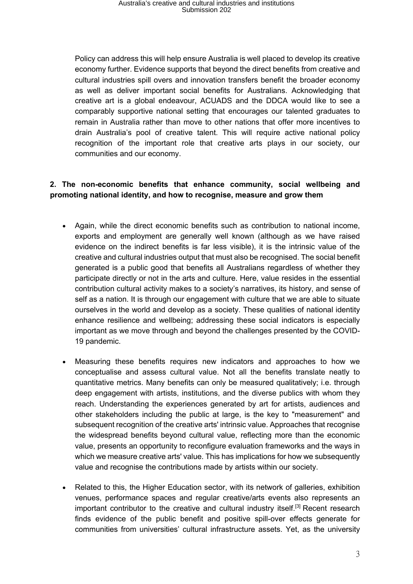# Australia's creative and cultural industries and institutions Submission 202

Policy can address this will help ensure Australia is well placed to develop its creative economy further. Evidence supports that beyond the direct benefits from creative and cultural industries spill overs and innovation transfers benefit the broader economy as well as deliver important social benefits for Australians. Acknowledging that creative art is a global endeavour, ACUADS and the DDCA would like to see a comparably supportive national setting that encourages our talented graduates to remain in Australia rather than move to other nations that offer more incentives to drain Australia's pool of creative talent. This will require active national policy recognition of the important role that creative arts plays in our society, our communities and our economy.

### **2. The non-economic benefits that enhance community, social wellbeing and promoting national identity, and how to recognise, measure and grow them**

- Again, while the direct economic benefits such as contribution to national income, exports and employment are generally well known (although as we have raised evidence on the indirect benefits is far less visible), it is the intrinsic value of the creative and cultural industries output that must also be recognised. The social benefit generated is a public good that benefits all Australians regardless of whether they participate directly or not in the arts and culture. Here, value resides in the essential contribution cultural activity makes to a society's narratives, its history, and sense of self as a nation. It is through our engagement with culture that we are able to situate ourselves in the world and develop as a society. These qualities of national identity enhance resilience and wellbeing; addressing these social indicators is especially important as we move through and beyond the challenges presented by the COVID-19 pandemic.
- Measuring these benefits requires new indicators and approaches to how we conceptualise and assess cultural value. Not all the benefits translate neatly to quantitative metrics. Many benefits can only be measured qualitatively; i.e. through deep engagement with artists, institutions, and the diverse publics with whom they reach. Understanding the experiences generated by art for artists, audiences and other stakeholders including the public at large, is the key to "measurement" and subsequent recognition of the creative arts' intrinsic value. Approaches that recognise the widespread benefits beyond cultural value, reflecting more than the economic value, presents an opportunity to reconfigure evaluation frameworks and the ways in which we measure creative arts' value. This has implications for how we subsequently value and recognise the contributions made by artists within our society.
- Related to this, the Higher Education sector, with its network of galleries, exhibition venues, performance spaces and regular creative/arts events also represents an important contributor to the creative and cultural industry itself.<sup>[3]</sup> Recent research finds evidence of the public benefit and positive spill-over effects generate for communities from universities' cultural infrastructure assets. Yet, as the university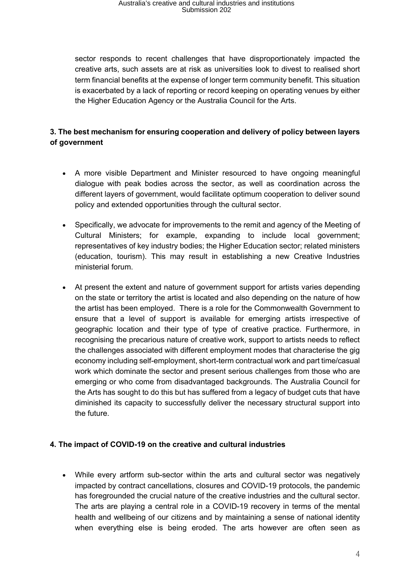# Australia's creative and cultural industries and institutions Submission 202

sector responds to recent challenges that have disproportionately impacted the creative arts, such assets are at risk as universities look to divest to realised short term financial benefits at the expense of longer term community benefit. This situation is exacerbated by a lack of reporting or record keeping on operating venues by either the Higher Education Agency or the Australia Council for the Arts.

## **3. The best mechanism for ensuring cooperation and delivery of policy between layers of government**

- A more visible Department and Minister resourced to have ongoing meaningful dialogue with peak bodies across the sector, as well as coordination across the different layers of government, would facilitate optimum cooperation to deliver sound policy and extended opportunities through the cultural sector.
- Specifically, we advocate for improvements to the remit and agency of the Meeting of Cultural Ministers; for example, expanding to include local government; representatives of key industry bodies; the Higher Education sector; related ministers (education, tourism). This may result in establishing a new Creative Industries ministerial forum.
- At present the extent and nature of government support for artists varies depending on the state or territory the artist is located and also depending on the nature of how the artist has been employed. There is a role for the Commonwealth Government to ensure that a level of support is available for emerging artists irrespective of geographic location and their type of type of creative practice. Furthermore, in recognising the precarious nature of creative work, support to artists needs to reflect the challenges associated with different employment modes that characterise the gig economy including self-employment, short-term contractual work and part time/casual work which dominate the sector and present serious challenges from those who are emerging or who come from disadvantaged backgrounds. The Australia Council for the Arts has sought to do this but has suffered from a legacy of budget cuts that have diminished its capacity to successfully deliver the necessary structural support into the future.

### **4. The impact of COVID-19 on the creative and cultural industries**

• While every artform sub-sector within the arts and cultural sector was negatively impacted by contract cancellations, closures and COVID-19 protocols, the pandemic has foregrounded the crucial nature of the creative industries and the cultural sector. The arts are playing a central role in a COVID-19 recovery in terms of the mental health and wellbeing of our citizens and by maintaining a sense of national identity when everything else is being eroded. The arts however are often seen as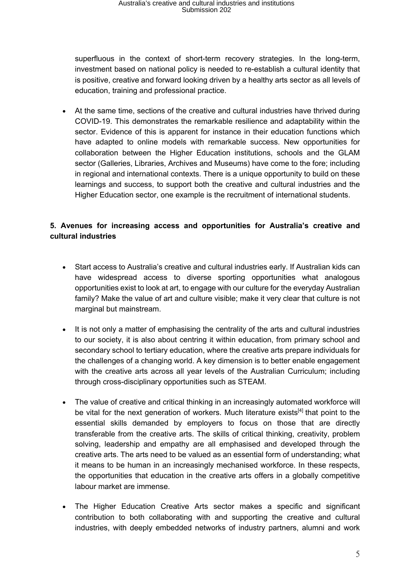# Australia's creative and cultural industries and institutions Submission 202

superfluous in the context of short-term recovery strategies. In the long-term, investment based on national policy is needed to re-establish a cultural identity that is positive, creative and forward looking driven by a healthy arts sector as all levels of education, training and professional practice.

• At the same time, sections of the creative and cultural industries have thrived during COVID-19. This demonstrates the remarkable resilience and adaptability within the sector. Evidence of this is apparent for instance in their education functions which have adapted to online models with remarkable success. New opportunities for collaboration between the Higher Education institutions, schools and the GLAM sector (Galleries, Libraries, Archives and Museums) have come to the fore; including in regional and international contexts. There is a unique opportunity to build on these learnings and success, to support both the creative and cultural industries and the Higher Education sector, one example is the recruitment of international students.

## **5. Avenues for increasing access and opportunities for Australia's creative and cultural industries**

- Start access to Australia's creative and cultural industries early. If Australian kids can have widespread access to diverse sporting opportunities what analogous opportunities exist to look at art, to engage with our culture for the everyday Australian family? Make the value of art and culture visible; make it very clear that culture is not marginal but mainstream.
- It is not only a matter of emphasising the centrality of the arts and cultural industries to our society, it is also about centring it within education, from primary school and secondary school to tertiary education, where the creative arts prepare individuals for the challenges of a changing world. A key dimension is to better enable engagement with the creative arts across all year levels of the Australian Curriculum; including through cross-disciplinary opportunities such as STEAM.
- The value of creative and critical thinking in an increasingly automated workforce will be vital for the next generation of workers. Much literature exists<sup>[4]</sup> that point to the essential skills demanded by employers to focus on those that are directly transferable from the creative arts. The skills of critical thinking, creativity, problem solving, leadership and empathy are all emphasised and developed through the creative arts. The arts need to be valued as an essential form of understanding; what it means to be human in an increasingly mechanised workforce. In these respects, the opportunities that education in the creative arts offers in a globally competitive labour market are immense.
- The Higher Education Creative Arts sector makes a specific and significant contribution to both collaborating with and supporting the creative and cultural industries, with deeply embedded networks of industry partners, alumni and work